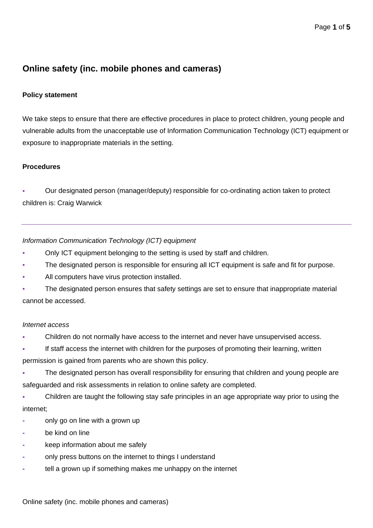# **Online safety (inc. mobile phones and cameras)**

## **Policy statement**

We take steps to ensure that there are effective procedures in place to protect children, young people and vulnerable adults from the unacceptable use of Information Communication Technology (ICT) equipment or exposure to inappropriate materials in the setting.

## **Procedures**

Our designated person (manager/deputy) responsible for co-ordinating action taken to protect children is: Craig Warwick

*Information Communication Technology (ICT) equipment*

- Only ICT equipment belonging to the setting is used by staff and children.
- The designated person is responsible for ensuring all ICT equipment is safe and fit for purpose.
- All computers have virus protection installed.
- The designated person ensures that safety settings are set to ensure that inappropriate material cannot be accessed.

#### *Internet access*

Children do not normally have access to the internet and never have unsupervised access.

If staff access the internet with children for the purposes of promoting their learning, written permission is gained from parents who are shown this policy.

The designated person has overall responsibility for ensuring that children and young people are

safeguarded and risk assessments in relation to online safety are completed.

Children are taught the following stay safe principles in an age appropriate way prior to using the internet;

- **-** only go on line with a grown up
- **-** be kind on line
- **-** keep information about me safely
- **-** only press buttons on the internet to things I understand
- **-** tell a grown up if something makes me unhappy on the internet

Online safety (inc. mobile phones and cameras)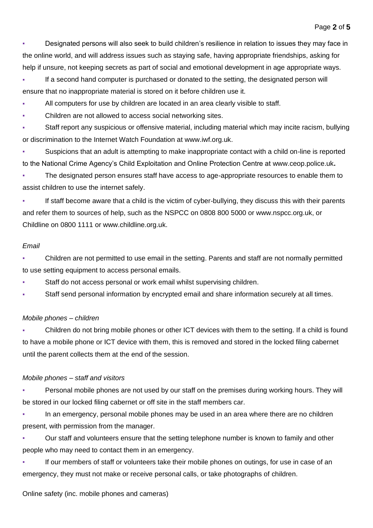Designated persons will also seek to build children's resilience in relation to issues they may face in the online world, and will address issues such as staying safe, having appropriate friendships, asking for help if unsure, not keeping secrets as part of social and emotional development in age appropriate ways.

If a second hand computer is purchased or donated to the setting, the designated person will ensure that no inappropriate material is stored on it before children use it.

All computers for use by children are located in an area clearly visible to staff.

Children are not allowed to access social networking sites.

Staff report any suspicious or offensive material, including material which may incite racism, bullying or discrimination to the Internet Watch Foundation at [www.iwf.org.uk.](http://www.iwf.org.uk/)

Suspicions that an adult is attempting to make inappropriate contact with a child on-line is reported to the National Crime Agency's Child Exploitation and Online Protection Centre at [www.ceop.police.uk](http://www.ceop.police.uk/)**.**

The designated person ensures staff have access to age-appropriate resources to enable them to assist children to use the internet safely.

If staff become aware that a child is the victim of cyber-bullying, they discuss this with their parents and refer them to sources of help, such as the NSPCC on 0808 800 5000 or www.nspcc.org.uk, or Childline on 0800 1111 or www.childline.org.uk.

## *Email*

Children are not permitted to use email in the setting. Parents and staff are not normally permitted to use setting equipment to access personal emails.

- Staff do not access personal or work email whilst supervising children.
- **Staff send personal information by encrypted email and share information securely at all times.**

## *Mobile phones – children*

Children do not bring mobile phones or other ICT devices with them to the setting. If a child is found to have a mobile phone or ICT device with them, this is removed and stored in the locked filing cabernet until the parent collects them at the end of the session.

## *Mobile phones – staff and visitors*

Personal mobile phones are not used by our staff on the premises during working hours. They will be stored in our locked filing cabernet or off site in the staff members car.

In an emergency, personal mobile phones may be used in an area where there are no children present, with permission from the manager.

Our staff and volunteers ensure that the setting telephone number is known to family and other people who may need to contact them in an emergency.

If our members of staff or volunteers take their mobile phones on outings, for use in case of an emergency, they must not make or receive personal calls, or take photographs of children.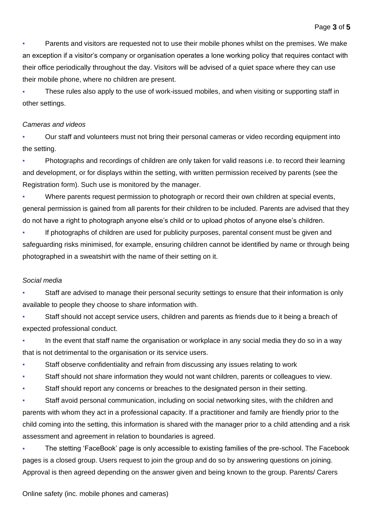Parents and visitors are requested not to use their mobile phones whilst on the premises. We make an exception if a visitor's company or organisation operates a lone working policy that requires contact with their office periodically throughout the day. Visitors will be advised of a quiet space where they can use their mobile phone, where no children are present.

These rules also apply to the use of work-issued mobiles, and when visiting or supporting staff in other settings.

#### *Cameras and videos*

Our staff and volunteers must not bring their personal cameras or video recording equipment into the setting.

Photographs and recordings of children are only taken for valid reasons i.e. to record their learning and development, or for displays within the setting, with written permission received by parents (see the Registration form). Such use is monitored by the manager.

Where parents request permission to photograph or record their own children at special events, general permission is gained from all parents for their children to be included. Parents are advised that they do not have a right to photograph anyone else's child or to upload photos of anyone else's children.

**•** If photographs of children are used for publicity purposes, parental consent must be given and safeguarding risks minimised, for example, ensuring children cannot be identified by name or through being photographed in a sweatshirt with the name of their setting on it.

## *Social media*

Staff are advised to manage their personal security settings to ensure that their information is only available to people they choose to share information with.

Staff should not accept service users, children and parents as friends due to it being a breach of expected professional conduct.

In the event that staff name the organisation or workplace in any social media they do so in a way that is not detrimental to the organisation or its service users.

- Staff observe confidentiality and refrain from discussing any issues relating to work
- Staff should not share information they would not want children, parents or colleagues to view.
- Staff should report any concerns or breaches to the designated person in their setting.

Staff avoid personal communication, including on social networking sites, with the children and parents with whom they act in a professional capacity. If a practitioner and family are friendly prior to the child coming into the setting, this information is shared with the manager prior to a child attending and a risk assessment and agreement in relation to boundaries is agreed.

The stetting 'FaceBook' page is only accessible to existing families of the pre-school. The Facebook pages is a closed group. Users request to join the group and do so by answering questions on joining. Approval is then agreed depending on the answer given and being known to the group. Parents/ Carers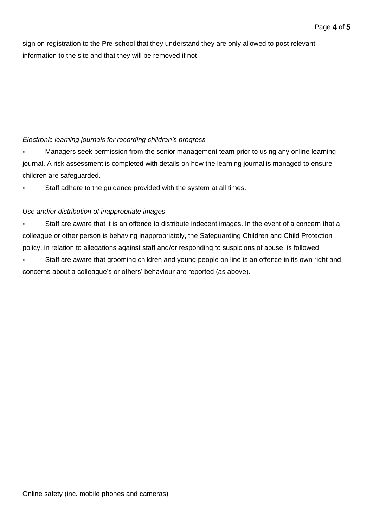sign on registration to the Pre-school that they understand they are only allowed to post relevant information to the site and that they will be removed if not.

## *Electronic learning journals for recording children's progress*

Managers seek permission from the senior management team prior to using any online learning journal. A risk assessment is completed with details on how the learning journal is managed to ensure children are safeguarded.

Staff adhere to the guidance provided with the system at all times.

# *Use and/or distribution of inappropriate images*

Staff are aware that it is an offence to distribute indecent images. In the event of a concern that a colleague or other person is behaving inappropriately, the Safeguarding Children and Child Protection policy, in relation to allegations against staff and/or responding to suspicions of abuse, is followed

Staff are aware that grooming children and young people on line is an offence in its own right and concerns about a colleague's or others' behaviour are reported (as above).